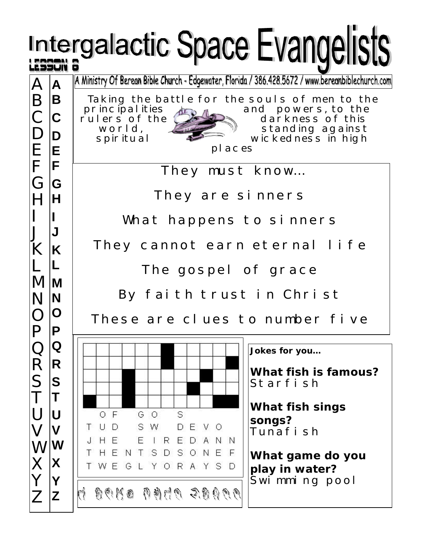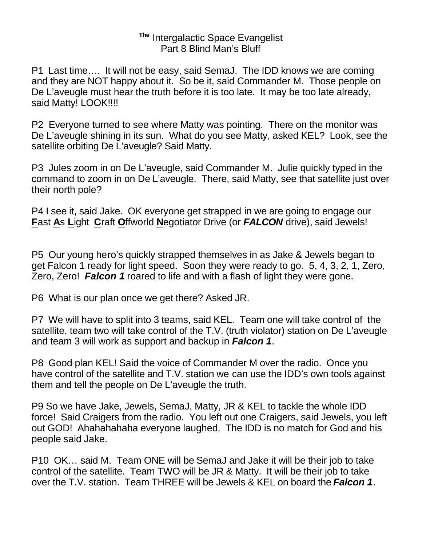## **The** Intergalactic Space Evangelist Part 8 Blind Man's Bluff

P1 Last time…. It will not be easy, said SemaJ. The IDD knows we are coming and they are NOT happy about it. So be it, said Commander M. Those people on De L'aveugle must hear the truth before it is too late. It may be too late already, said Matty! LOOK!!!!

P2 Everyone turned to see where Matty was pointing. There on the monitor was De L'aveugle shining in its sun. What do you see Matty, asked KEL? Look, see the satellite orbiting De L'aveugle? Said Matty.

P3 Jules zoom in on De L'aveugle, said Commander M. Julie quickly typed in the command to zoom in on De L'aveugle. There, said Matty, see that satellite just over their north pole?

P4 I see it, said Jake. OK everyone get strapped in we are going to engage our **F**ast **A**s **L**ight **C**raft **O**ffworld **N**egotiator Drive (or *FALCON* drive), said Jewels!

P5 Our young hero's quickly strapped themselves in as Jake & Jewels began to get Falcon 1 ready for light speed. Soon they were ready to go. 5, 4, 3, 2, 1, Zero, Zero, Zero! *Falcon 1* roared to life and with a flash of light they were gone.

P6 What is our plan once we get there? Asked JR.

P7 We will have to split into 3 teams, said KEL. Team one will take control of the satellite, team two will take control of the T.V. (truth violator) station on De L'aveugle and team 3 will work as support and backup in *Falcon 1*.

P8 Good plan KEL! Said the voice of Commander M over the radio. Once you have control of the satellite and T.V. station we can use the IDD's own tools against them and tell the people on De L'aveugle the truth.

P9 So we have Jake, Jewels, SemaJ, Matty, JR & KEL to tackle the whole IDD force! Said Craigers from the radio. You left out one Craigers, said Jewels, you left out GOD! Ahahahahaha everyone laughed. The IDD is no match for God and his people said Jake.

P10 OK… said M. Team ONE will be SemaJ and Jake it will be their job to take control of the satellite. Team TWO will be JR & Matty. It will be their job to take over the T.V. station. Team THREE will be Jewels & KEL on board the *Falcon 1*.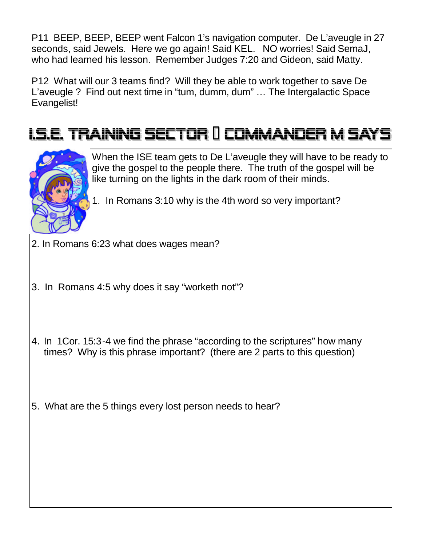P11 BEEP, BEEP, BEEP went Falcon 1's navigation computer. De L'aveugle in 27 seconds, said Jewels. Here we go again! Said KEL. NO worries! Said SemaJ, who had learned his lesson. Remember Judges 7:20 and Gideon, said Matty.

P12 What will our 3 teams find? Will they be able to work together to save De L'aveugle ? Find out next time in "tum, dumm, dum" … The Intergalactic Space Evangelist!

## <u> LS.E. TRAINING SECTOR II COMMANDER M SAYS</u>



When the ISE team gets to De L'aveugle they will have to be ready to give the gospel to the people there. The truth of the gospel will be like turning on the lights in the dark room of their minds.

- 1. In Romans 3:10 why is the 4th word so very important?
- 2. In Romans 6:23 what does wages mean?
- 3. In Romans 4:5 why does it say "worketh not"?
- 4. In 1Cor. 15:3-4 we find the phrase "according to the scriptures" how many times? Why is this phrase important? (there are 2 parts to this question)
- 5. What are the 5 things every lost person needs to hear?